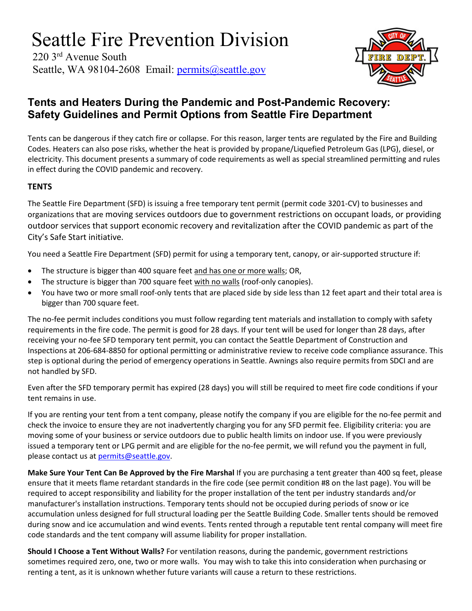# Seattle Fire Prevention Division

220 3rd Avenue South Seattle, WA 98104-2608 Email: [permits@seattle.gov](mailto:permits@seattle.gov)



## **Tents and Heaters During the Pandemic and Post-Pandemic Recovery: Safety Guidelines and Permit Options from Seattle Fire Department**

Tents can be dangerous if they catch fire or collapse. For this reason, larger tents are regulated by the Fire and Building Codes. Heaters can also pose risks, whether the heat is provided by propane/Liquefied Petroleum Gas (LPG), diesel, or electricity. This document presents a summary of code requirements as well as special streamlined permitting and rules in effect during the COVID pandemic and recovery.

#### **TENTS**

The Seattle Fire Department (SFD) is issuing a free temporary tent permit (permit code 3201-CV) to businesses and organizations that are moving services outdoors due to government restrictions on occupant loads, or providing outdoor services that support economic recovery and revitalization after the COVID pandemic as part of the City's Safe Start initiative.

You need a Seattle Fire Department (SFD) permit for using a temporary tent, canopy, or air-supported structure if:

- The structure is bigger than 400 square feet and has one or more walls; OR,
- The structure is bigger than 700 square feet with no walls (roof-only canopies).
- You have two or more small roof-only tents that are placed side by side less than 12 feet apart and their total area is bigger than 700 square feet.

The no-fee permit includes conditions you must follow regarding tent materials and installation to comply with safety requirements in the fire code. The permit is good for 28 days. If your tent will be used for longer than 28 days, after receiving your no-fee SFD temporary tent permit, you can contact the Seattle Department of Construction and Inspections at 206-684-8850 for optional permitting or administrative review to receive code compliance assurance. This step is optional during the period of emergency operations in Seattle. Awnings also require permits from SDCI and are not handled by SFD.

Even after the SFD temporary permit has expired (28 days) you will still be required to meet fire code conditions if your tent remains in use.

If you are renting your tent from a tent company, please notify the company if you are eligible for the no-fee permit and check the invoice to ensure they are not inadvertently charging you for any SFD permit fee. Eligibility criteria: you are moving some of your business or service outdoors due to public health limits on indoor use. If you were previously issued a temporary tent or LPG permit and are eligible for the no-fee permit, we will refund you the payment in full, please contact us at [permits@seattle.gov.](mailto:permits@seattle.gov)

**Make Sure Your Tent Can Be Approved by the Fire Marshal** If you are purchasing a tent greater than 400 sq feet, please ensure that it meets flame retardant standards in the fire code (see permit condition #8 on the last page). You will be required to accept responsibility and liability for the proper installation of the tent per industry standards and/or manufacturer's installation instructions. Temporary tents should not be occupied during periods of snow or ice accumulation unless designed for full structural loading per the Seattle Building Code. Smaller tents should be removed during snow and ice accumulation and wind events. Tents rented through a reputable tent rental company will meet fire code standards and the tent company will assume liability for proper installation.

**Should I Choose a Tent Without Walls?** For ventilation reasons, during the pandemic, government restrictions sometimes required zero, one, two or more walls. You may wish to take this into consideration when purchasing or renting a tent, as it is unknown whether future variants will cause a return to these restrictions.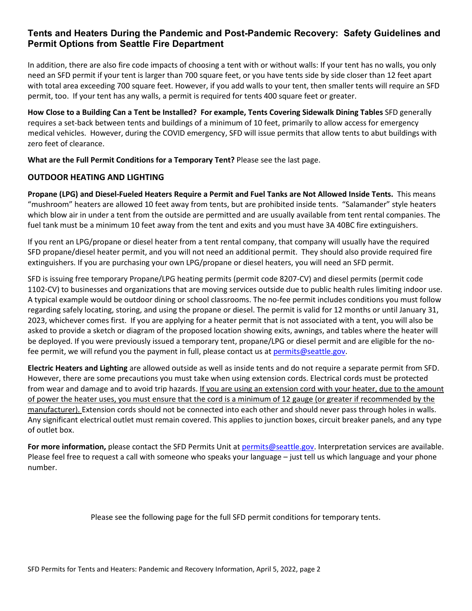#### **Tents and Heaters During the Pandemic and Post-Pandemic Recovery: Safety Guidelines and Permit Options from Seattle Fire Department**

In addition, there are also fire code impacts of choosing a tent with or without walls: If your tent has no walls, you only need an SFD permit if your tent is larger than 700 square feet, or you have tents side by side closer than 12 feet apart with total area exceeding 700 square feet. However, if you add walls to your tent, then smaller tents will require an SFD permit, too. If your tent has any walls, a permit is required for tents 400 square feet or greater.

**How Close to a Building Can a Tent be Installed? For example, Tents Covering Sidewalk Dining Tables** SFD generally requires a set-back between tents and buildings of a minimum of 10 feet, primarily to allow access for emergency medical vehicles. However, during the COVID emergency, SFD will issue permits that allow tents to abut buildings with zero feet of clearance.

**What are the Full Permit Conditions for a Temporary Tent?** Please see the last page.

#### **OUTDOOR HEATING AND LIGHTING**

**Propane (LPG) and Diesel-Fueled Heaters Require a Permit and Fuel Tanks are Not Allowed Inside Tents.** This means "mushroom" heaters are allowed 10 feet away from tents, but are prohibited inside tents. "Salamander" style heaters which blow air in under a tent from the outside are permitted and are usually available from tent rental companies. The fuel tank must be a minimum 10 feet away from the tent and exits and you must have 3A 40BC fire extinguishers.

If you rent an LPG/propane or diesel heater from a tent rental company, that company will usually have the required SFD propane/diesel heater permit, and you will not need an additional permit. They should also provide required fire extinguishers. If you are purchasing your own LPG/propane or diesel heaters, you will need an SFD permit.

SFD is issuing free temporary Propane/LPG heating permits (permit code 8207-CV) and diesel permits (permit code 1102-CV) to businesses and organizations that are moving services outside due to public health rules limiting indoor use. A typical example would be outdoor dining or school classrooms. The no-fee permit includes conditions you must follow regarding safely locating, storing, and using the propane or diesel. The permit is valid for 12 months or until January 31, 2023, whichever comes first. If you are applying for a heater permit that is not associated with a tent, you will also be asked to provide a sketch or diagram of the proposed location showing exits, awnings, and tables where the heater will be deployed. If you were previously issued a temporary tent, propane/LPG or diesel permit and are eligible for the nofee permit, we will refund you the payment in full, please contact us a[t permits@seattle.gov.](mailto:permits@seattle.gov)

**Electric Heaters and Lighting** are allowed outside as well as inside tents and do not require a separate permit from SFD. However, there are some precautions you must take when using extension cords. Electrical cords must be protected from wear and damage and to avoid trip hazards. If you are using an extension cord with your heater, due to the amount of power the heater uses, you must ensure that the cord is a minimum of 12 gauge (or greater if recommended by the manufacturer). Extension cords should not be connected into each other and should never pass through holes in walls. Any significant electrical outlet must remain covered. This applies to junction boxes, circuit breaker panels, and any type of outlet box.

For more information, please contact the SFD Permits Unit at [permits@seattle.gov.](mailto:permits@seattle.gov) Interpretation services are available. Please feel free to request a call with someone who speaks your language – just tell us which language and your phone number.

Please see the following page for the full SFD permit conditions for temporary tents.